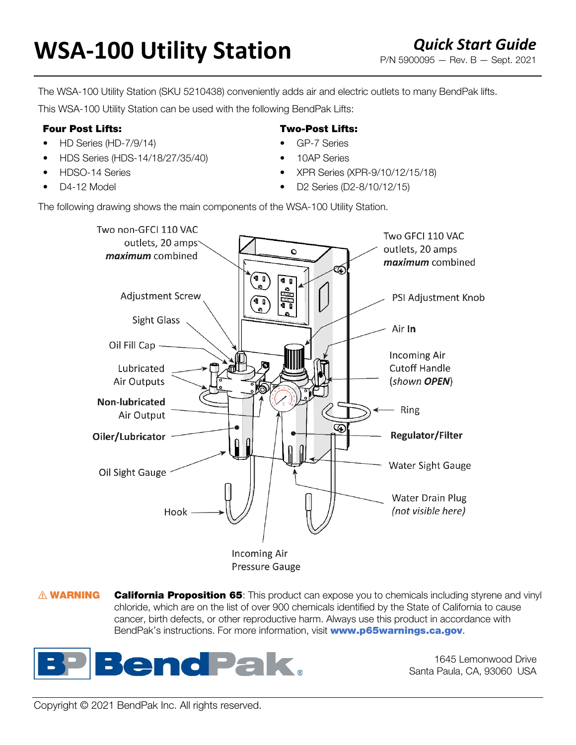# **WSA-100 Utility Station** *Quick Start Guide Quick Start Guide P/N 5900095 – Rev. B – Sept. 2021*

The WSA-100 Utility Station (SKU 5210438) conveniently adds air and electric outlets to many BendPak lifts.

This WSA-100 Utility Station can be used with the following BendPak Lifts:

### Four Post Lifts:

- HD Series (HD-7/9/14)
- HDS Series (HDS-14/18/27/35/40)
- HDSO-14 Series
- D4-12 Model

## Two-Post Lifts:

- GP-7 Series
- 10AP Series
- XPR Series (XPR-9/10/12/15/18)
- D2 Series (D2-8/10/12/15)

The following drawing shows the main components of the WSA-100 Utility Station.



Pressure Gauge

**A WARNING** California Proposition 65: This product can expose you to chemicals including styrene and vinyl chloride, which are on the list of over 900 chemicals identified by the State of California to cause cancer, birth defects, or other reproductive harm. Always use this product in accordance with BendPak's instructions. For more information, visit **[www.p65warnings.ca.gov](https://www.p65warnings.ca.gov/)**.



1645 Lemonwood Drive Santa Paula, CA, 93060 USA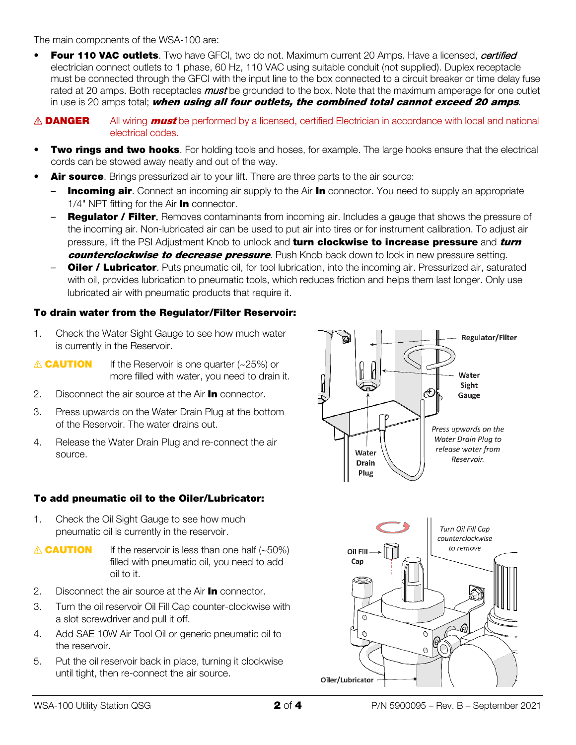The main components of the WSA-100 are:

- Four 110 VAC outlets. Two have GFCI, two do not. Maximum current 20 Amps. Have a licensed, *certified* electrician connect outlets to 1 phase, 60 Hz, 110 VAC using suitable conduit (not supplied). Duplex receptacle must be connected through the GFCI with the input line to the box connected to a circuit breaker or time delay fuse rated at 20 amps. Both receptacles *must* be grounded to the box. Note that the maximum amperage for one outlet in use is 20 amps total; when using all four outlets, the combined total cannot exceed 20 amps.
- $\triangle$  DANGER All wiring *must* be performed by a licensed, certified Electrician in accordance with local and national electrical codes.
- **Two rings and two hooks**. For holding tools and hoses, for example. The large hooks ensure that the electrical cords can be stowed away neatly and out of the way.
- Air source. Brings pressurized air to your lift. There are three parts to the air source:
	- **Incoming air**. Connect an incoming air supply to the Air In connector. You need to supply an appropriate 1/4" NPT fitting for the Air **In** connector.
	- Regulator / Filter. Removes contaminants from incoming air. Includes a gauge that shows the pressure of the incoming air. Non-lubricated air can be used to put air into tires or for instrument calibration. To adjust air pressure, lift the PSI Adjustment Knob to unlock and **turn clockwise to increase pressure** and *turn* counterclockwise to decrease pressure. Push Knob back down to lock in new pressure setting.
	- **Oiler / Lubricator**. Puts pneumatic oil, for tool lubrication, into the incoming air. Pressurized air, saturated with oil, provides lubrication to pneumatic tools, which reduces friction and helps them last longer. Only use lubricated air with pneumatic products that require it.

#### To drain water from the Regulator/Filter Reservoir:

- 1. Check the Water Sight Gauge to see how much water is currently in the Reservoir.
- $\triangle$  **CAUTION** If the Reservoir is one quarter (~25%) or more filled with water, you need to drain it.
- 2. Disconnect the air source at the Air **In** connector.
- 3. Press upwards on the Water Drain Plug at the bottom of the Reservoir. The water drains out.
- 4. Release the Water Drain Plug and re-connect the air source.

#### To add pneumatic oil to the Oiler/Lubricator:

- 1. Check the Oil Sight Gauge to see how much pneumatic oil is currently in the reservoir.
- $\triangle$  **CAUTION** If the reservoir is less than one half (~50%) filled with pneumatic oil, you need to add oil to it.
- 2. Disconnect the air source at the Air **In** connector.
- 3. Turn the oil reservoir Oil Fill Cap counter-clockwise with a slot screwdriver and pull it off.
- 4. Add SAE 10W Air Tool Oil or generic pneumatic oil to the reservoir.
- 5. Put the oil reservoir back in place, turning it clockwise until tight, then re-connect the air source.

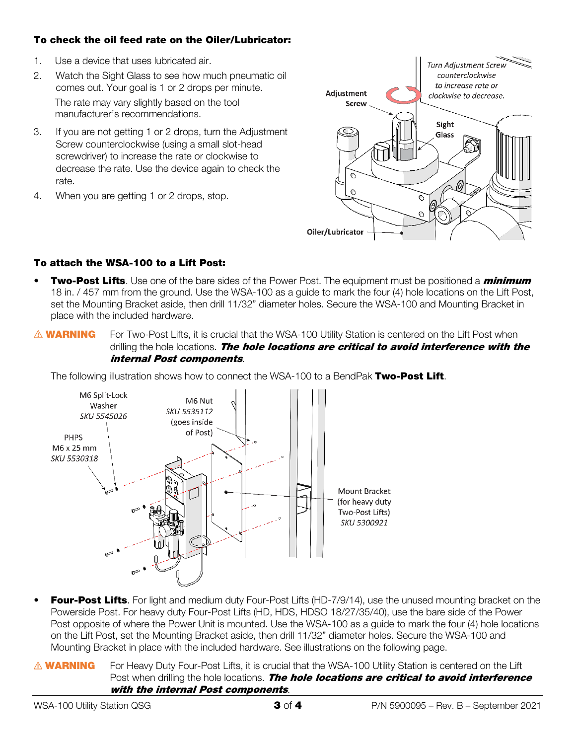#### To check the oil feed rate on the Oiler/Lubricator:

- 1. Use a device that uses lubricated air.
- 2. Watch the Sight Glass to see how much pneumatic oil comes out. Your goal is 1 or 2 drops per minute. The rate may vary slightly based on the tool manufacturer's recommendations.
- 3. If you are not getting 1 or 2 drops, turn the Adjustment Screw counterclockwise (using a small slot-head screwdriver) to increase the rate or clockwise to decrease the rate. Use the device again to check the rate.
- 4. When you are getting 1 or 2 drops, stop.



## To attach the WSA-100 to a Lift Post:

- **Two-Post Lifts**. Use one of the bare sides of the Power Post. The equipment must be positioned a *minimum* 18 in. / 457 mm from the ground. Use the WSA-100 as a guide to mark the four (4) hole locations on the Lift Post, set the Mounting Bracket aside, then drill 11/32" diameter holes. Secure the WSA-100 and Mounting Bracket in place with the included hardware.
- **△ WARNING** For Two-Post Lifts, it is crucial that the WSA-100 Utility Station is centered on the Lift Post when drilling the hole locations. The hole locations are critical to avoid interference with the internal Post components.

The following illustration shows how to connect the WSA-100 to a BendPak Two-Post Lift.



- Four-Post Lifts. For light and medium duty Four-Post Lifts (HD-7/9/14), use the unused mounting bracket on the Powerside Post. For heavy duty Four-Post Lifts (HD, HDS, HDSO 18/27/35/40), use the bare side of the Power Post opposite of where the Power Unit is mounted. Use the WSA-100 as a guide to mark the four (4) hole locations on the Lift Post, set the Mounting Bracket aside, then drill 11/32" diameter holes. Secure the WSA-100 and Mounting Bracket in place with the included hardware. See illustrations on the following page.
- **MARNING** For Heavy Duty Four-Post Lifts, it is crucial that the WSA-100 Utility Station is centered on the Lift Post when drilling the hole locations. The hole locations are critical to avoid interference with the internal Post components.